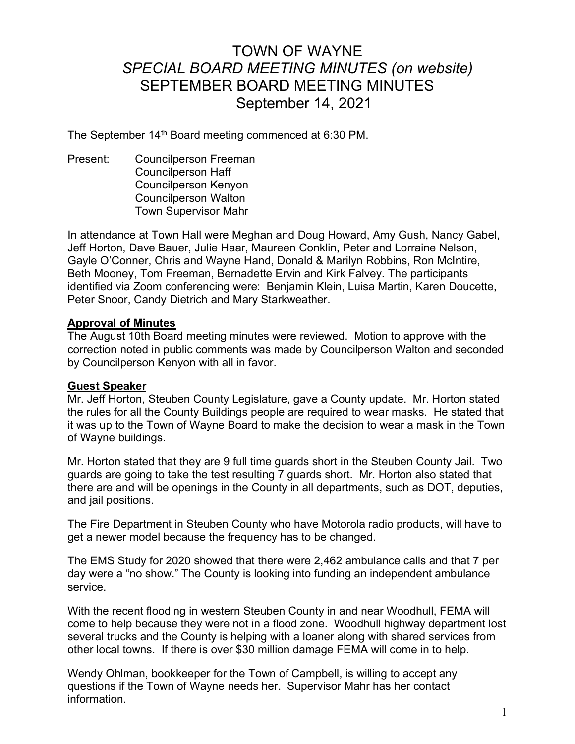# TOWN OF WAYNE SPECIAL BOARD MEETING MINUTES (on website) SEPTEMBER BOARD MEETING MINUTES September 14, 2021

The September 14<sup>th</sup> Board meeting commenced at 6:30 PM.

Present: Councilperson Freeman Councilperson Haff Councilperson Kenyon Councilperson Walton Town Supervisor Mahr

In attendance at Town Hall were Meghan and Doug Howard, Amy Gush, Nancy Gabel, Jeff Horton, Dave Bauer, Julie Haar, Maureen Conklin, Peter and Lorraine Nelson, Gayle O'Conner, Chris and Wayne Hand, Donald & Marilyn Robbins, Ron McIntire, Beth Mooney, Tom Freeman, Bernadette Ervin and Kirk Falvey. The participants identified via Zoom conferencing were: Benjamin Klein, Luisa Martin, Karen Doucette, Peter Snoor, Candy Dietrich and Mary Starkweather.

#### Approval of Minutes

The August 10th Board meeting minutes were reviewed. Motion to approve with the correction noted in public comments was made by Councilperson Walton and seconded by Councilperson Kenyon with all in favor.

## Guest Speaker

Mr. Jeff Horton, Steuben County Legislature, gave a County update. Mr. Horton stated the rules for all the County Buildings people are required to wear masks. He stated that it was up to the Town of Wayne Board to make the decision to wear a mask in the Town of Wayne buildings.

Mr. Horton stated that they are 9 full time guards short in the Steuben County Jail. Two guards are going to take the test resulting 7 guards short. Mr. Horton also stated that there are and will be openings in the County in all departments, such as DOT, deputies, and jail positions.

The Fire Department in Steuben County who have Motorola radio products, will have to get a newer model because the frequency has to be changed.

The EMS Study for 2020 showed that there were 2,462 ambulance calls and that 7 per day were a "no show." The County is looking into funding an independent ambulance service.

With the recent flooding in western Steuben County in and near Woodhull, FEMA will come to help because they were not in a flood zone. Woodhull highway department lost several trucks and the County is helping with a loaner along with shared services from other local towns. If there is over \$30 million damage FEMA will come in to help.

Wendy Ohlman, bookkeeper for the Town of Campbell, is willing to accept any questions if the Town of Wayne needs her. Supervisor Mahr has her contact information.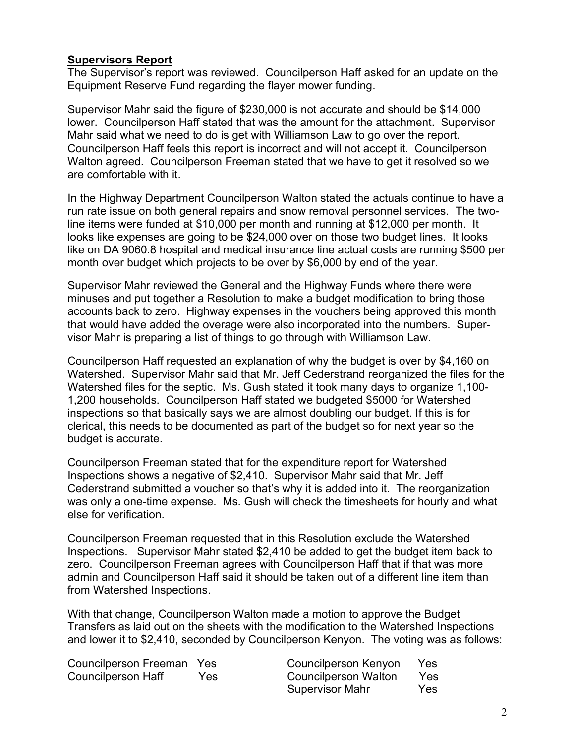## Supervisors Report

The Supervisor's report was reviewed. Councilperson Haff asked for an update on the Equipment Reserve Fund regarding the flayer mower funding.

Supervisor Mahr said the figure of \$230,000 is not accurate and should be \$14,000 lower. Councilperson Haff stated that was the amount for the attachment. Supervisor Mahr said what we need to do is get with Williamson Law to go over the report. Councilperson Haff feels this report is incorrect and will not accept it. Councilperson Walton agreed. Councilperson Freeman stated that we have to get it resolved so we are comfortable with it.

In the Highway Department Councilperson Walton stated the actuals continue to have a run rate issue on both general repairs and snow removal personnel services. The twoline items were funded at \$10,000 per month and running at \$12,000 per month. It looks like expenses are going to be \$24,000 over on those two budget lines. It looks like on DA 9060.8 hospital and medical insurance line actual costs are running \$500 per month over budget which projects to be over by \$6,000 by end of the year.

Supervisor Mahr reviewed the General and the Highway Funds where there were minuses and put together a Resolution to make a budget modification to bring those accounts back to zero. Highway expenses in the vouchers being approved this month that would have added the overage were also incorporated into the numbers. Supervisor Mahr is preparing a list of things to go through with Williamson Law.

Councilperson Haff requested an explanation of why the budget is over by \$4,160 on Watershed. Supervisor Mahr said that Mr. Jeff Cederstrand reorganized the files for the Watershed files for the septic. Ms. Gush stated it took many days to organize 1,100- 1,200 households. Councilperson Haff stated we budgeted \$5000 for Watershed inspections so that basically says we are almost doubling our budget. If this is for clerical, this needs to be documented as part of the budget so for next year so the budget is accurate.

Councilperson Freeman stated that for the expenditure report for Watershed Inspections shows a negative of \$2,410. Supervisor Mahr said that Mr. Jeff Cederstrand submitted a voucher so that's why it is added into it. The reorganization was only a one-time expense. Ms. Gush will check the timesheets for hourly and what else for verification.

Councilperson Freeman requested that in this Resolution exclude the Watershed Inspections. Supervisor Mahr stated \$2,410 be added to get the budget item back to zero. Councilperson Freeman agrees with Councilperson Haff that if that was more admin and Councilperson Haff said it should be taken out of a different line item than from Watershed Inspections.

With that change, Councilperson Walton made a motion to approve the Budget Transfers as laid out on the sheets with the modification to the Watershed Inspections and lower it to \$2,410, seconded by Councilperson Kenyon. The voting was as follows:

| Councilperson Freeman Yes |     | Councilperson Kenyon        | <b>Yes</b> |
|---------------------------|-----|-----------------------------|------------|
| Councilperson Haff        | Yes | <b>Councilperson Walton</b> | Yes        |
|                           |     | <b>Supervisor Mahr</b>      | <b>Yes</b> |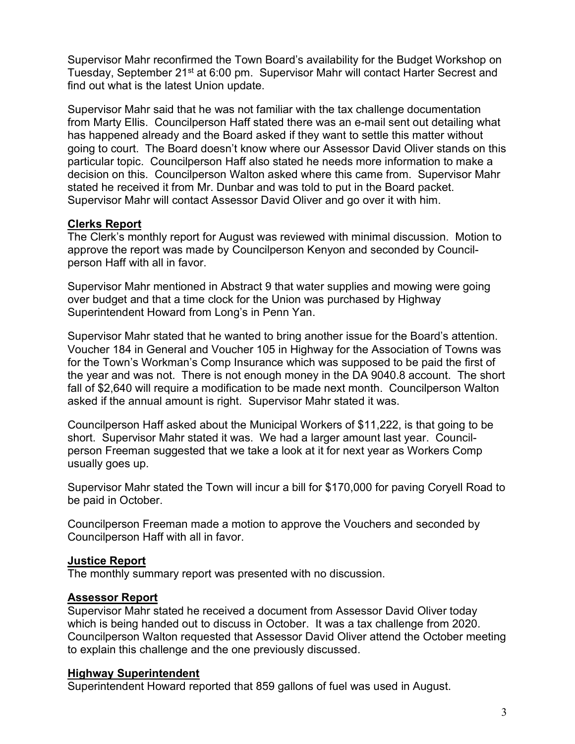Supervisor Mahr reconfirmed the Town Board's availability for the Budget Workshop on Tuesday, September 21<sup>st</sup> at 6:00 pm. Supervisor Mahr will contact Harter Secrest and find out what is the latest Union update.

Supervisor Mahr said that he was not familiar with the tax challenge documentation from Marty Ellis. Councilperson Haff stated there was an e-mail sent out detailing what has happened already and the Board asked if they want to settle this matter without going to court. The Board doesn't know where our Assessor David Oliver stands on this particular topic. Councilperson Haff also stated he needs more information to make a decision on this. Councilperson Walton asked where this came from. Supervisor Mahr stated he received it from Mr. Dunbar and was told to put in the Board packet. Supervisor Mahr will contact Assessor David Oliver and go over it with him.

## Clerks Report

The Clerk's monthly report for August was reviewed with minimal discussion. Motion to approve the report was made by Councilperson Kenyon and seconded by Councilperson Haff with all in favor.

Supervisor Mahr mentioned in Abstract 9 that water supplies and mowing were going over budget and that a time clock for the Union was purchased by Highway Superintendent Howard from Long's in Penn Yan.

Supervisor Mahr stated that he wanted to bring another issue for the Board's attention. Voucher 184 in General and Voucher 105 in Highway for the Association of Towns was for the Town's Workman's Comp Insurance which was supposed to be paid the first of the year and was not. There is not enough money in the DA 9040.8 account. The short fall of \$2,640 will require a modification to be made next month. Councilperson Walton asked if the annual amount is right. Supervisor Mahr stated it was.

Councilperson Haff asked about the Municipal Workers of \$11,222, is that going to be short. Supervisor Mahr stated it was. We had a larger amount last year. Councilperson Freeman suggested that we take a look at it for next year as Workers Comp usually goes up.

Supervisor Mahr stated the Town will incur a bill for \$170,000 for paving Coryell Road to be paid in October.

Councilperson Freeman made a motion to approve the Vouchers and seconded by Councilperson Haff with all in favor.

## Justice Report

The monthly summary report was presented with no discussion.

## Assessor Report

Supervisor Mahr stated he received a document from Assessor David Oliver today which is being handed out to discuss in October. It was a tax challenge from 2020. Councilperson Walton requested that Assessor David Oliver attend the October meeting to explain this challenge and the one previously discussed.

## Highway Superintendent

Superintendent Howard reported that 859 gallons of fuel was used in August.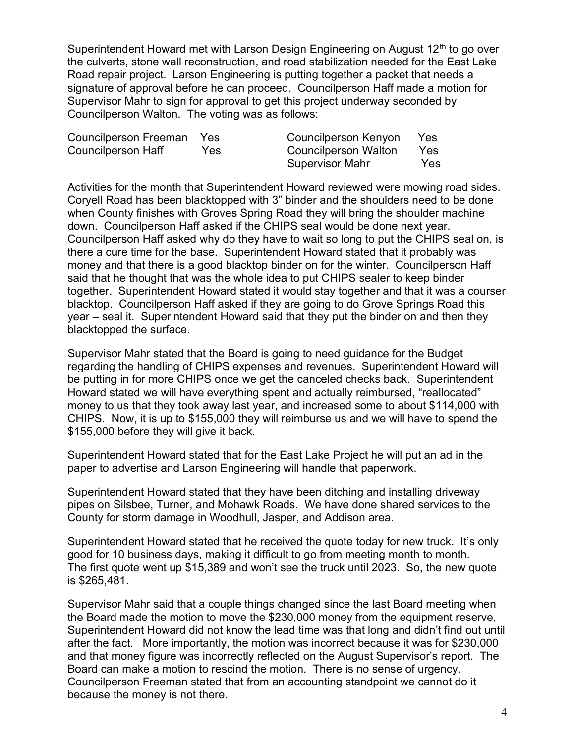Superintendent Howard met with Larson Design Engineering on August 12<sup>th</sup> to go over the culverts, stone wall reconstruction, and road stabilization needed for the East Lake Road repair project. Larson Engineering is putting together a packet that needs a signature of approval before he can proceed. Councilperson Haff made a motion for Supervisor Mahr to sign for approval to get this project underway seconded by Councilperson Walton. The voting was as follows:

| Councilperson Freeman Yes |      | Councilperson Kenyon   | Yes  |
|---------------------------|------|------------------------|------|
| Councilperson Haff        | Yes. | Councilperson Walton   | Yes: |
|                           |      | <b>Supervisor Mahr</b> | Yes  |

Activities for the month that Superintendent Howard reviewed were mowing road sides. Coryell Road has been blacktopped with 3" binder and the shoulders need to be done when County finishes with Groves Spring Road they will bring the shoulder machine down. Councilperson Haff asked if the CHIPS seal would be done next year. Councilperson Haff asked why do they have to wait so long to put the CHIPS seal on, is there a cure time for the base. Superintendent Howard stated that it probably was money and that there is a good blacktop binder on for the winter. Councilperson Haff said that he thought that was the whole idea to put CHIPS sealer to keep binder together. Superintendent Howard stated it would stay together and that it was a courser blacktop. Councilperson Haff asked if they are going to do Grove Springs Road this year – seal it. Superintendent Howard said that they put the binder on and then they blacktopped the surface.

Supervisor Mahr stated that the Board is going to need guidance for the Budget regarding the handling of CHIPS expenses and revenues. Superintendent Howard will be putting in for more CHIPS once we get the canceled checks back. Superintendent Howard stated we will have everything spent and actually reimbursed, "reallocated" money to us that they took away last year, and increased some to about \$114,000 with CHIPS. Now, it is up to \$155,000 they will reimburse us and we will have to spend the \$155,000 before they will give it back.

Superintendent Howard stated that for the East Lake Project he will put an ad in the paper to advertise and Larson Engineering will handle that paperwork.

Superintendent Howard stated that they have been ditching and installing driveway pipes on Silsbee, Turner, and Mohawk Roads. We have done shared services to the County for storm damage in Woodhull, Jasper, and Addison area.

Superintendent Howard stated that he received the quote today for new truck. It's only good for 10 business days, making it difficult to go from meeting month to month. The first quote went up \$15,389 and won't see the truck until 2023. So, the new quote is \$265,481.

Supervisor Mahr said that a couple things changed since the last Board meeting when the Board made the motion to move the \$230,000 money from the equipment reserve, Superintendent Howard did not know the lead time was that long and didn't find out until after the fact. More importantly, the motion was incorrect because it was for \$230,000 and that money figure was incorrectly reflected on the August Supervisor's report. The Board can make a motion to rescind the motion. There is no sense of urgency. Councilperson Freeman stated that from an accounting standpoint we cannot do it because the money is not there.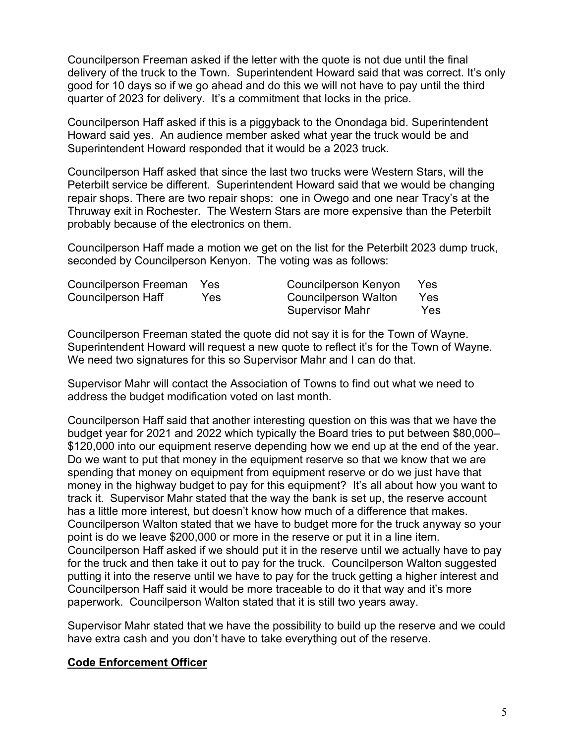Councilperson Freeman asked if the letter with the quote is not due until the final delivery of the truck to the Town. Superintendent Howard said that was correct. It's only good for 10 days so if we go ahead and do this we will not have to pay until the third quarter of 2023 for delivery. It's a commitment that locks in the price.

Councilperson Haff asked if this is a piggyback to the Onondaga bid. Superintendent Howard said yes. An audience member asked what year the truck would be and Superintendent Howard responded that it would be a 2023 truck.

Councilperson Haff asked that since the last two trucks were Western Stars, will the Peterbilt service be different. Superintendent Howard said that we would be changing repair shops. There are two repair shops: one in Owego and one near Tracy's at the Thruway exit in Rochester. The Western Stars are more expensive than the Peterbilt probably because of the electronics on them.

Councilperson Haff made a motion we get on the list for the Peterbilt 2023 dump truck, seconded by Councilperson Kenyon. The voting was as follows:

| Councilperson Freeman Yes |     | Councilperson Kenyon | Yes        |
|---------------------------|-----|----------------------|------------|
| Councilperson Haff        | Yes | Councilperson Walton | Yes        |
|                           |     | Supervisor Mahr      | <b>Yes</b> |

Councilperson Freeman stated the quote did not say it is for the Town of Wayne. Superintendent Howard will request a new quote to reflect it's for the Town of Wayne. We need two signatures for this so Supervisor Mahr and I can do that.

Supervisor Mahr will contact the Association of Towns to find out what we need to address the budget modification voted on last month.

Councilperson Haff said that another interesting question on this was that we have the budget year for 2021 and 2022 which typically the Board tries to put between \$80,000– \$120,000 into our equipment reserve depending how we end up at the end of the year. Do we want to put that money in the equipment reserve so that we know that we are spending that money on equipment from equipment reserve or do we just have that money in the highway budget to pay for this equipment? It's all about how you want to track it. Supervisor Mahr stated that the way the bank is set up, the reserve account has a little more interest, but doesn't know how much of a difference that makes. Councilperson Walton stated that we have to budget more for the truck anyway so your point is do we leave \$200,000 or more in the reserve or put it in a line item. Councilperson Haff asked if we should put it in the reserve until we actually have to pay for the truck and then take it out to pay for the truck. Councilperson Walton suggested putting it into the reserve until we have to pay for the truck getting a higher interest and Councilperson Haff said it would be more traceable to do it that way and it's more paperwork. Councilperson Walton stated that it is still two years away.

Supervisor Mahr stated that we have the possibility to build up the reserve and we could have extra cash and you don't have to take everything out of the reserve.

## Code Enforcement Officer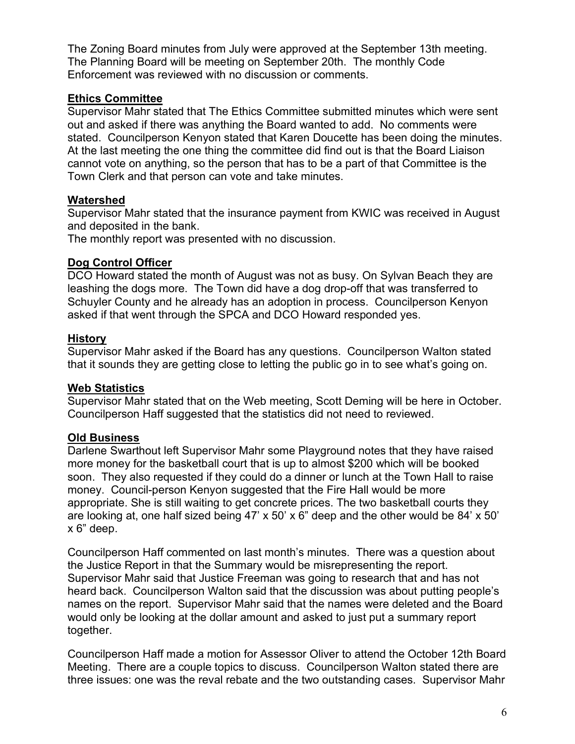The Zoning Board minutes from July were approved at the September 13th meeting. The Planning Board will be meeting on September 20th. The monthly Code Enforcement was reviewed with no discussion or comments.

## Ethics Committee

Supervisor Mahr stated that The Ethics Committee submitted minutes which were sent out and asked if there was anything the Board wanted to add. No comments were stated. Councilperson Kenyon stated that Karen Doucette has been doing the minutes. At the last meeting the one thing the committee did find out is that the Board Liaison cannot vote on anything, so the person that has to be a part of that Committee is the Town Clerk and that person can vote and take minutes.

# Watershed

Supervisor Mahr stated that the insurance payment from KWIC was received in August and deposited in the bank.

The monthly report was presented with no discussion.

## Dog Control Officer

DCO Howard stated the month of August was not as busy. On Sylvan Beach they are leashing the dogs more. The Town did have a dog drop-off that was transferred to Schuyler County and he already has an adoption in process. Councilperson Kenyon asked if that went through the SPCA and DCO Howard responded yes.

## History

Supervisor Mahr asked if the Board has any questions. Councilperson Walton stated that it sounds they are getting close to letting the public go in to see what's going on.

## Web Statistics

Supervisor Mahr stated that on the Web meeting, Scott Deming will be here in October. Councilperson Haff suggested that the statistics did not need to reviewed.

# Old Business

Darlene Swarthout left Supervisor Mahr some Playground notes that they have raised more money for the basketball court that is up to almost \$200 which will be booked soon. They also requested if they could do a dinner or lunch at the Town Hall to raise money. Council-person Kenyon suggested that the Fire Hall would be more appropriate. She is still waiting to get concrete prices. The two basketball courts they are looking at, one half sized being 47' x 50' x 6" deep and the other would be 84' x 50' x 6" deep.

Councilperson Haff commented on last month's minutes. There was a question about the Justice Report in that the Summary would be misrepresenting the report. Supervisor Mahr said that Justice Freeman was going to research that and has not heard back. Councilperson Walton said that the discussion was about putting people's names on the report. Supervisor Mahr said that the names were deleted and the Board would only be looking at the dollar amount and asked to just put a summary report together.

Councilperson Haff made a motion for Assessor Oliver to attend the October 12th Board Meeting. There are a couple topics to discuss. Councilperson Walton stated there are three issues: one was the reval rebate and the two outstanding cases. Supervisor Mahr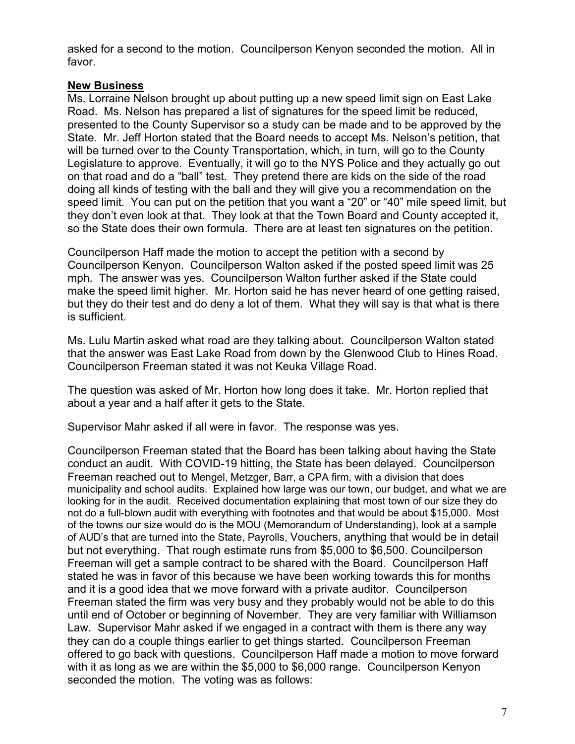asked for a second to the motion. Councilperson Kenyon seconded the motion. All in favor.

## New Business

Ms. Lorraine Nelson brought up about putting up a new speed limit sign on East Lake Road. Ms. Nelson has prepared a list of signatures for the speed limit be reduced, presented to the County Supervisor so a study can be made and to be approved by the State. Mr. Jeff Horton stated that the Board needs to accept Ms. Nelson's petition, that will be turned over to the County Transportation, which, in turn, will go to the County Legislature to approve. Eventually, it will go to the NYS Police and they actually go out on that road and do a "ball" test. They pretend there are kids on the side of the road doing all kinds of testing with the ball and they will give you a recommendation on the speed limit. You can put on the petition that you want a "20" or "40" mile speed limit, but they don't even look at that. They look at that the Town Board and County accepted it, so the State does their own formula. There are at least ten signatures on the petition.

Councilperson Haff made the motion to accept the petition with a second by Councilperson Kenyon. Councilperson Walton asked if the posted speed limit was 25 mph. The answer was yes. Councilperson Walton further asked if the State could make the speed limit higher. Mr. Horton said he has never heard of one getting raised, but they do their test and do deny a lot of them. What they will say is that what is there is sufficient.

Ms. Lulu Martin asked what road are they talking about. Councilperson Walton stated that the answer was East Lake Road from down by the Glenwood Club to Hines Road. Councilperson Freeman stated it was not Keuka Village Road.

The question was asked of Mr. Horton how long does it take. Mr. Horton replied that about a year and a half after it gets to the State.

Supervisor Mahr asked if all were in favor. The response was yes.

Councilperson Freeman stated that the Board has been talking about having the State conduct an audit. With COVID-19 hitting, the State has been delayed. Councilperson Freeman reached out to Mengel, Metzger, Barr, a CPA firm, with a division that does municipality and school audits. Explained how large was our town, our budget, and what we are looking for in the audit. Received documentation explaining that most town of our size they do not do a full-blown audit with everything with footnotes and that would be about \$15,000. Most of the towns our size would do is the MOU (Memorandum of Understanding), look at a sample of AUD's that are turned into the State, Payrolls, Vouchers, anything that would be in detail but not everything. That rough estimate runs from \$5,000 to \$6,500. Councilperson Freeman will get a sample contract to be shared with the Board. Councilperson Haff stated he was in favor of this because we have been working towards this for months and it is a good idea that we move forward with a private auditor. Councilperson Freeman stated the firm was very busy and they probably would not be able to do this until end of October or beginning of November. They are very familiar with Williamson Law. Supervisor Mahr asked if we engaged in a contract with them is there any way they can do a couple things earlier to get things started. Councilperson Freeman offered to go back with questions. Councilperson Haff made a motion to move forward with it as long as we are within the \$5,000 to \$6,000 range. Councilperson Kenyon seconded the motion. The voting was as follows: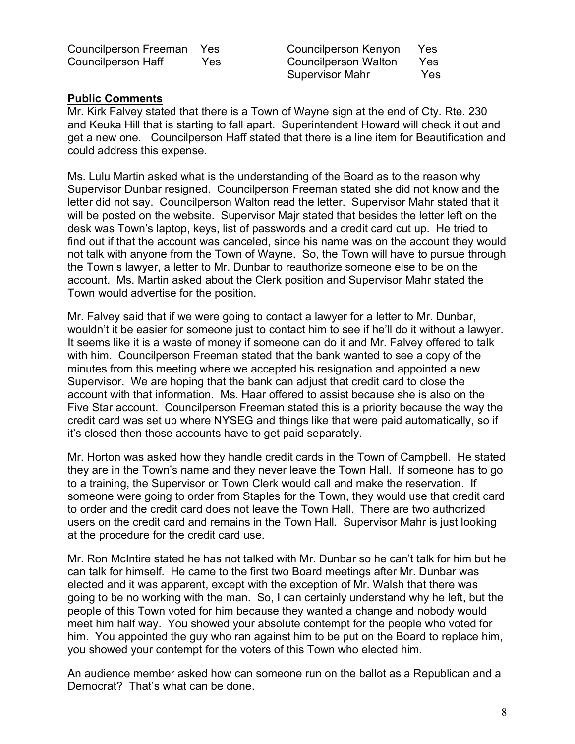Councilperson Freeman Yes Councilperson Kenyon Yes Councilperson Haff Yes Councilperson Walton Yes

Supervisor Mahr Yes

## Public Comments

Mr. Kirk Falvey stated that there is a Town of Wayne sign at the end of Cty. Rte. 230 and Keuka Hill that is starting to fall apart. Superintendent Howard will check it out and get a new one. Councilperson Haff stated that there is a line item for Beautification and could address this expense.

Ms. Lulu Martin asked what is the understanding of the Board as to the reason why Supervisor Dunbar resigned. Councilperson Freeman stated she did not know and the letter did not say. Councilperson Walton read the letter. Supervisor Mahr stated that it will be posted on the website. Supervisor Majr stated that besides the letter left on the desk was Town's laptop, keys, list of passwords and a credit card cut up. He tried to find out if that the account was canceled, since his name was on the account they would not talk with anyone from the Town of Wayne. So, the Town will have to pursue through the Town's lawyer, a letter to Mr. Dunbar to reauthorize someone else to be on the account. Ms. Martin asked about the Clerk position and Supervisor Mahr stated the Town would advertise for the position.

Mr. Falvey said that if we were going to contact a lawyer for a letter to Mr. Dunbar, wouldn't it be easier for someone just to contact him to see if he'll do it without a lawyer. It seems like it is a waste of money if someone can do it and Mr. Falvey offered to talk with him. Councilperson Freeman stated that the bank wanted to see a copy of the minutes from this meeting where we accepted his resignation and appointed a new Supervisor. We are hoping that the bank can adjust that credit card to close the account with that information. Ms. Haar offered to assist because she is also on the Five Star account. Councilperson Freeman stated this is a priority because the way the credit card was set up where NYSEG and things like that were paid automatically, so if it's closed then those accounts have to get paid separately.

Mr. Horton was asked how they handle credit cards in the Town of Campbell. He stated they are in the Town's name and they never leave the Town Hall. If someone has to go to a training, the Supervisor or Town Clerk would call and make the reservation. If someone were going to order from Staples for the Town, they would use that credit card to order and the credit card does not leave the Town Hall. There are two authorized users on the credit card and remains in the Town Hall. Supervisor Mahr is just looking at the procedure for the credit card use.

Mr. Ron McIntire stated he has not talked with Mr. Dunbar so he can't talk for him but he can talk for himself. He came to the first two Board meetings after Mr. Dunbar was elected and it was apparent, except with the exception of Mr. Walsh that there was going to be no working with the man. So, I can certainly understand why he left, but the people of this Town voted for him because they wanted a change and nobody would meet him half way. You showed your absolute contempt for the people who voted for him. You appointed the guy who ran against him to be put on the Board to replace him, you showed your contempt for the voters of this Town who elected him.

An audience member asked how can someone run on the ballot as a Republican and a Democrat? That's what can be done.